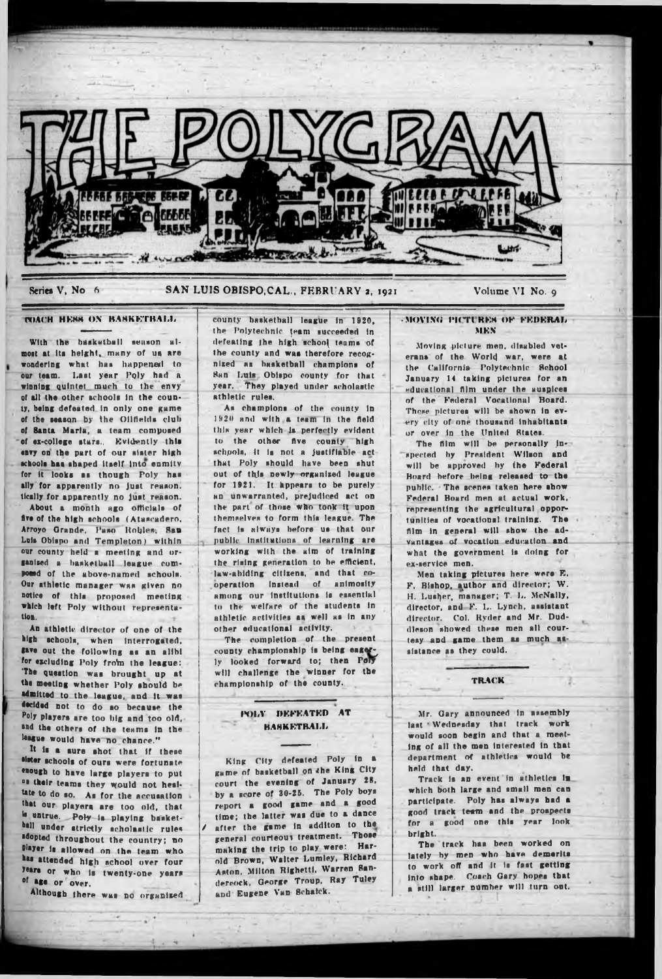

## Series V, No 6 SAN LUIS OBISPO, CAL., FEBRUARY 2, 1921 Volume VI No. 9

# COACH HESS ON BASKETBALL

With the basketball season almost at its height, many of us are wondering what has happened to our team. Last year Poly had a winning quintet much to the envy of all the other schools In the county, being defeated In only one game of the season by the Oilfields club of Santa Marla, a team composed of ex-college stars.. Evidently thta envy on the part of our sister high schools has shaped itself into enmity for it looks as though Poly has ally for apparently no Just reason, tlcally for apparently no just reason.

About a month ago officials of five of the high schools (Atascadero, Arroyo Grande, Paso Robles, San Luis Obispo and Templeton) within our county held a meeting and organised a basketball league composed of the above-named schools. Our athletic manager was given no notice of this proposed meeting which left Poly without representa-<br>tion. tion. The contract of the contract of the contract of the contract of the contract of the contract of the contract of the contract of the contract of the contract of the contract of the contract of the contract of the cont

An athletic director of one of the high schools, when Interrogated, gave out the following as an alibi for excluding Poly from the league: 'The question was brought up at the meeting whether Poly should be admitted to the league, and It was decided not to do so because the Poly playera are too big and too old, and the others of the teams In the league would have no chance."

It is a sure shot that if these sister schools of ours were fortunate enough to have large playera to put " their teams they would not healtate to do so. As for the accusation that our playera are too old, that Is untrue. Poly is playing basketball under strictly scholastic rules adopted throughout the country; no Player le allowed on the team who has attended high school over four years or who is twenty-one years of age or over.

Although there was no organised

county basketball league In 1920, the Polytechnic team succeeded in defeating the high school teams of the county and was therefore recognized as hasketball champions of Ban Lull Obispo county for that year. They played under scholastic athletic rulea.

As champions of the county In 1920 and with a team In the field this year which la perfectly evident to the other five county high schools, it is not a justifiable act that Poly should have been shut out of this newly organized league for 1921. It Appears to be purely ho unwarranted, prejudiced act on the part of those Who took It upon themselves to form this league. The fact is always before us that our public' 'Institutions of learning are working wllh the aim of training the rising generation to be efficient, law-abiding citizens, and that cooperation Instead of animosity among our Institutions Is essential to the welfare of the students In athletic activities as well as In any other educational activity.

The completion of the present county championship is being eager ly looked forward to; then Pon will challenge the winner for the championship of the county.

# POLY DEFEATED AT HAHKKTH.AI.li

King Clly defeated Poly In a game of basketball on the King City court the evening of January 28, by a score of 30-25. The Poly boys report a good gsme and a good time; the latter was due to a dance after the game in additon to the general courteous treatment. Those making the trip to play were: Harold Brown, Walter Lumley, Richard Aston. Milton Rlghettl. Warren Bandereock, George Troup. Ray Tuley and Eugene Van Bchalck.

## · MOVING PICTURES OF FEDERAL MKN

.Moving picture men. disabled veterans of the World war, were at the California Polytechnic Rchool January 14 taking pictures for an educational film under the auspices of the Federal Vocational Board. These pictures will be shown in every city of one thousand Inhabitants or over In the United States.

The film will be personally inspected by President Wilson and will be approved by the Federal Hoard before being released to the public. The scenes taken here show Federal Board men at actual work, representing the agricultural opportunities of vocational training. The film in general will show the advantages of vocation education and what the government is doing for ex-service men.

Men taking pictures here were E. F. Bishop, author and director; W. H. Lusher, manager; T. L. McNally, director, and F. L. Lynch, assistant director. Col. Ryder and Mr. Duddleson showed these men all courtesy and game them as much assistance as they could.

### TRACK

Mr. Gary announced In assembly last ' Wednesday that track work would soon begin and that a meeting of all the men Interested In tbat department of athletics would be held that day.

Track is an event in athletics in which both large and small men can participate. Poly has always bad a good (rack team and the prospects for a good one this year look bright.

The track has been worked on lately by men who have demerits to work off and it is fast getting Into shape. Coach Gary hopes that a still larger number will turn ont.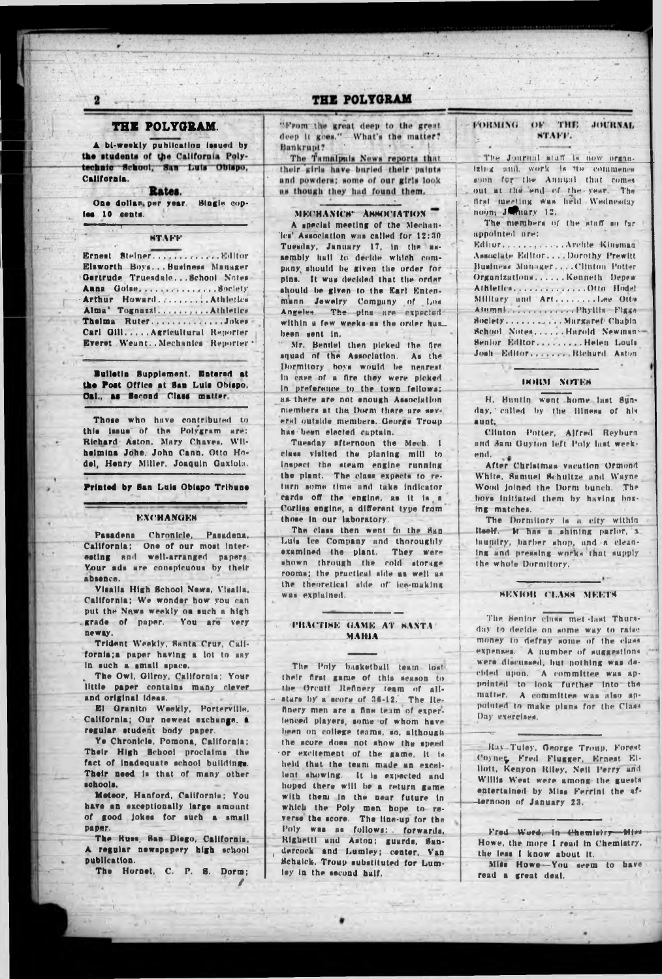# THE POLYGRAM.

A bi-weekly publication issued by the students of the California Polytechnic School, San Luis Obispo, California.

Rates.

One dollar per year. Single copies 10 cents.

**NTAFF** 

Ernest Steiner. . . . . . . . . . . . . Editor Elsworth Boys... Business Manager Gertrude Truesdale...School Notes-Anna Goine. .............. Society Arthur Howard. ......... Athletics Alma\* Tognazzi......,...Athletics Thelma Ruter.............Jokes Carl Gill..... Agricultural Reporter Everet Weant. Mechanics Reporter .

Builetin Supplement. Entered at the Post Office at San Luis Obispo,<br>Cal., as Second Class matter.

Those who have contributed to<br>this issue of the Polygram are: Richard Aston, Mary Chaves, Wilheimina Johe, John Cann, Otto Hodel, Henry Miller, Joaquin Gaxiola.

Printed by San Luis Obispo Tribune

## **EXCHANGES**

Pasadena Chronicle, Pasadena, California: One of our most interesting and well-arranged papers. Your ads are conspicuous by their absence.

Visalia High School News, Visalia. California; We wonder how you can put the Naws weekly on such a high grade of paper. You are very neway.

Trident Weekly, Santa Cruz, California; a paper having a lot to say in such a small space.

The Owl, Gilroy, California; Your little paper contains many clever.

El Granito Weekly, Porterville, California; Our newest exchange, a regular student body paper.

Ye Chronicle, Pomona, California; Their High School proclaims the fact of inadequate school buildings. Their need is that of many other schools.

Meteor, Hanford, California; You have an exceptionally large amount of good jokes for such a small DADRE.

The Russ, San Diego, California. A regular newspapery high school publication.

The Hornet, C. P. S. Dorm;

# THE POLYGRAM

"From the great deep to the great deep it goes." What's the matter? Bankrupt?

The Tamalpuis News reports that their girls have buried their paints and powders; some of our girls look as though they had found them.

MECHANICS<sup>-</sup> ASSOCIATION

A special meeting of the Mechanles' Association was called for 12:30 Tuesday, January 17, in the assembly hall to decide which company should be given the order for pins. It was decided that the order should be given to the Earl Entenmann Jewelry Company of Los within a few weeks as the order has been sent in.

Mr. Bentlel then picked the fire squad of the Association. As the Dormitory hoys would be nearest In case of a fire they were picked In preference to the town fellows; as there are not enough Association members at the Dorm there are several outside members. George Troup has been elected captain.

Tuesday afternoon the Mech. 1 class visited the planing mill to inspect the steam engine running the plant. The class expects to return some time and take indicator cards off the engine, as it is a Corliss engine, a different type from those in our laboratory.

The class then went to the San Luis lee Company and thoroughly examined the plant. They were shown through the cold storage rooms: the practical side as well as the theoretical side of lee-making was explained.

## PHACTINE GAME AT BANTA! **MAHIA**

The Poly basketball team lost their first game of this season to the Orcutt Refinery team of allatars by a score of 36-12. The Relenced players, some of whom have been on college teams, so, althoughthe score does not show the speed or excitement of the game, it is held that the team made an excellent showing. It is expected and hoped there will be a return game with them in the near future in which the Poly men hope to re-<br>verse the score. The line-up for the Poly was as follows: forwards, Righetti und Aston; guards, Sandercock and Lumley; center, Van Schalck. Troup substituted for Lumley in the second half.

**FORMING**  $OE$  THE **JOURNAL** STAFF.

The Journal staff is now organizing and, work is no commence soon for the Annual that comes out at the end of the year. The first meeting was held Wednesday noon; January 12.

The members of the staff so far. unnotuted urst

Editor. ........... Archie Kinsman Associate Editor....Dorothy Prewitt Business Manager. ... Clinton Potter Organizations......Kenneth Depew Athletics.............Otto Hodel Milltary and Art........Lee Otto Alumnian .......... Phyllis Figgs Society............Margaret Chapin School Notes...... Harold Newman-Senior Editor.........Helen Louis Josh Editor. ...... Richard Aston

#### **DORM NOTES**

H. Buntin went home last 8unday, called by the illness of his aunt.

Clinton Potter, Alfred Reyburn and Sam Guyton left Poly last weekend.

After Christmas vacation Ormond White, Samuel Schultze and Wayne Wood joined the Dorm bunch. The hoys initiated them by having hoxing matches.

The Dormitory is a city within itself. It has a shining parlor, a laundry, barber shop, and a cleaning and pressing works that supply the whole Dormitory.

## SENIOR CLASS MEETS

The Senior class met last Thursday to decide on some way to raise money to defray some of the class expenses. A number of suggestions were discussed, but nothing was decided upon. A committee was appointed to look further into the matter. A committee was also appointed to make plans for the Class Day exerclaes.

Ray-Tuley, George Troup, Forest Coyner, Fred Flugger, Ernest Elllott, Kenyon Riley, Neil Perry and Willis West were among the guests entertained by Miss Ferrini the afternoon of January 23.

Fred Word, in Chemistry-Miss Howe, the more I read in Chemiatry. the less I know about it. Miss Howe-You seem to have

read a great deal.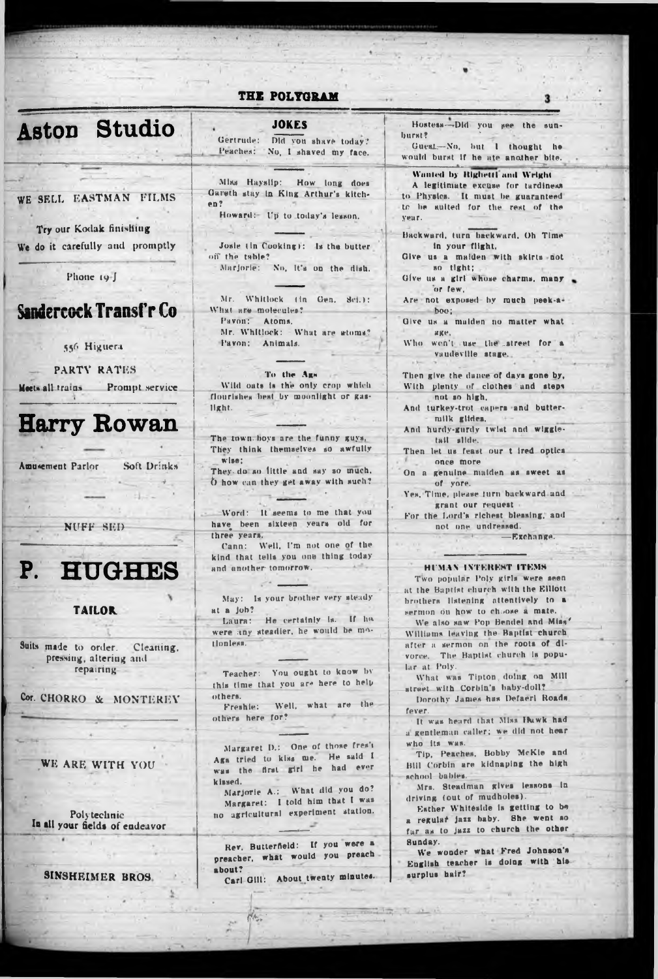| Aston | <b>Studio</b> |
|-------|---------------|
|       |               |

WE SELL EASTMAN FILMS

Try our Kodak finishing We do it carefully and promptly

Phone 19-J

# Sandercock Transf'r Co

556 Higuera

PARTY RATES

Meets all trains Prompt service

**Harry Rowan** 

**Amusement Parlor** Soft Drinks

NUFF SED



# **TAILOR**

Suits made to order. Cleaning. pressing, altering and repairing

Cor. CHORRO & MONTEREY

WE ARE WITH YOU

Polytechnic In all your fields of endeavor

SINSHEIMER BROS.

# THE POLYGRAM

JOKFS

Gertrude: Did von shave today? Peaches: No. I shaved my face.

Miss Hayslip: How long does Gareth stay in King Arthur's kitch $en?$ 

Howard: Up to today's lesson.

Josle (in Cooking): Is the butter off the table? Marjorie: No. it's on the dish.

Mr. Whitlock (in Gen. Sci.): What are molecules? Pavon: Atoms. Mr. Whitlock: - What are atoms?

Pavon: Animals.

To the Ags Wild oats is the only crop which flourishes best by moonlight or gaslight.

The town boys are the funny guys, They think themselves so awfully wise: They do so little and say so much. O how can they get away with such?

Word: It seems to me that you have been sixteen years old for three years.

Cann: Well, I'm not one of the kind that tells you one thing today and another tomorrow.

May: Is your brother very steady at a job?

Laura: He certainly is. If ha were any steadier, he would be motionless.

Teacher: You ought to know by this time that you are here to help others.

Freshie: Well, what are the others here for?

Margaret D.: One of those fres't Aga tried to kiss me. He said I was the first girl he had ever kissed.

Marjorie A.: What did you do?<br>Margaret: I told him that I was no agricultural experiment station.

Rev. Butterfield: If you were a preacher, what would you preach about?

Carl Gill: About twenty minutes.

 $H_{A_{\varphi\phi}}$ 

 $\frac{1}{\sqrt{2}}\left(\frac{1}{\sqrt{2}}\frac{\sqrt{2}}{\sqrt{2}}\right)\left(\frac{1}{\sqrt{2}}\frac{\sqrt{2}}{\sqrt{2}}\right)\left(\frac{1}{\sqrt{2}}\frac{\sqrt{2}}{\sqrt{2}}\right)\left(\frac{1}{\sqrt{2}}\frac{\sqrt{2}}{\sqrt{2}}\right)\left(\frac{1}{\sqrt{2}}\frac{\sqrt{2}}{\sqrt{2}}\right)\left(\frac{1}{\sqrt{2}}\frac{\sqrt{2}}{\sqrt{2}}\right)\left(\frac{1}{\sqrt{2}}\frac{\sqrt{2}}{\sqrt{2}}\right)\left(\frac{1}{\sqrt{2}}\frac{\sqrt{2}}{\sqrt{2}}\right)\left$ 

Hostess-Did you see the sunburst? Guest.-No, but 1 thought he would burst if he ate another bite. Wanted by Righetti and Wright A legitimate excuse for tardiness to Physics. It must be guaranteed to he suited for the rest of the venr. Backward, turn backward, Oh Time in your flight. Give us a maiden with skirts not so tight; Give us a girl whose charms, many or few. Are not exposed by much peek-aboo; Give us a maiden no matter what

 $\overline{\mathbf{a}}$ 

age.

Who wen't use the street for a vaudeville stage.

Then give the dance of days gone by, With plenty of clothes and steps<br>not so high,

And turkey-trot capers and buttermilk glides.

And hurdy-gurdy twist and wiggletail alide.

Then let us feast our t ired optics. once more

On a genuine maiden as sweet as of vore.

Yes, Time, please furn backward and grant our request

For the Lord's richest blessing, and not one undressed.

-Exchange.

## HUMAN INTEREST ITEMS

Two popular Poly girls were seen at the Baptist church with the Elliott brothers listening attentively to a sermon on how to choose a mate.

We also saw Pop Bendel and Miss' Williams leaving the Baptist church after a sermon on the roots of divorce. The Baptist church is popular at Poly.

What was Tipton doing on Milt street with Corbin's haby-doll?

Dorothy James has Defaerl Roads fover

It was heard that Miss Hawk had a gentleman caller; we did not hear who its was.

Tip, Peaches, Bobby McKle and **Bill Corbin are kidnaping the high** school babies.

Mrs. Steadman gives lessons in driving (out of mudholes).

Esther Whiteside is getting to be a regular jazz baby. She went so far as to jazz to church the other Sunday.

We wonder what Fred Johnson's English teacher is doing with his surplus hair?